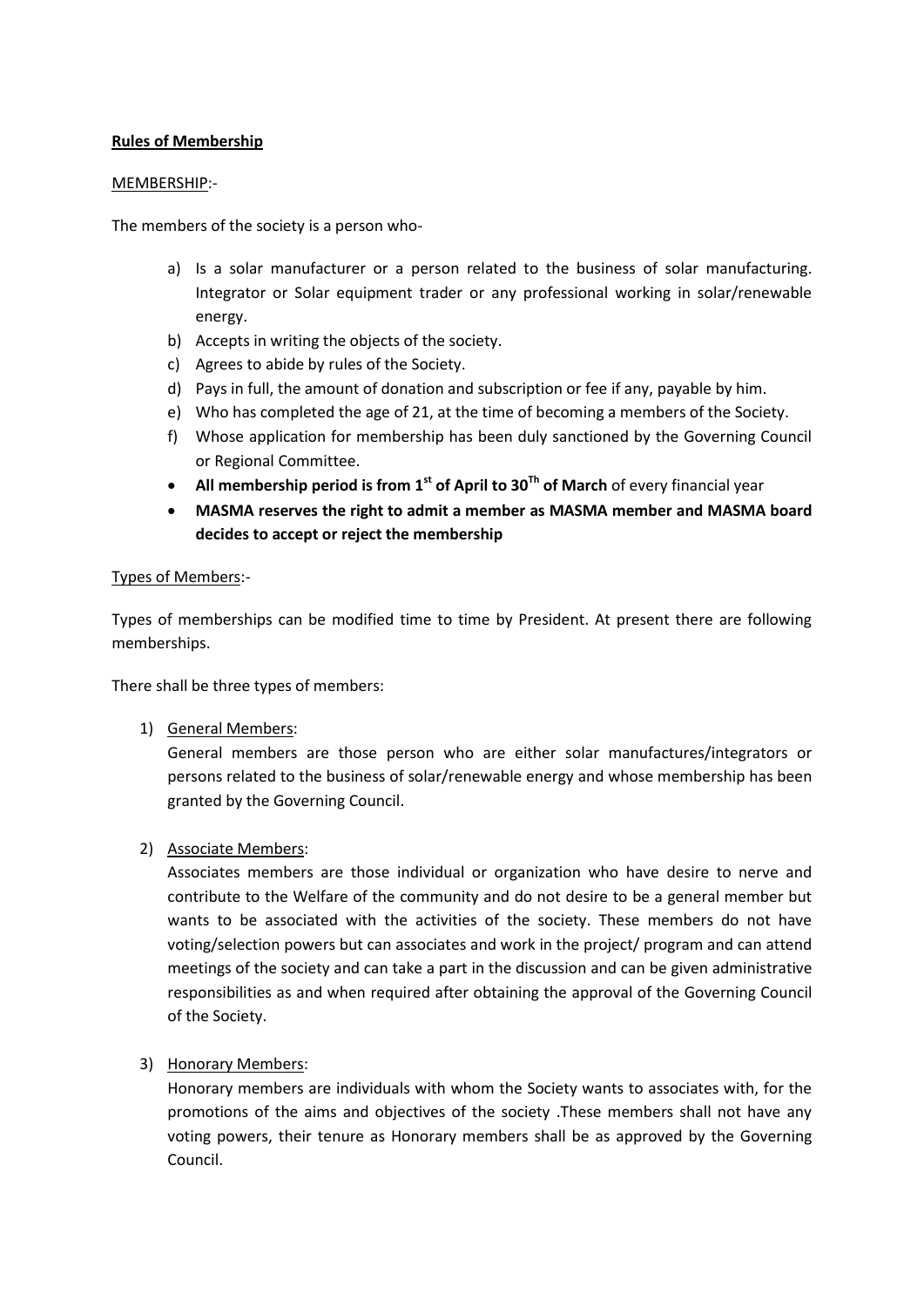# **Rules of Membership**

#### MEMBERSHIP:-

The members of the society is a person who-

- a) Is a solar manufacturer or a person related to the business of solar manufacturing. Integrator or Solar equipment trader or any professional working in solar/renewable energy.
- b) Accepts in writing the objects of the society.
- c) Agrees to abide by rules of the Society.
- d) Pays in full, the amount of donation and subscription or fee if any, payable by him.
- e) Who has completed the age of 21, at the time of becoming a members of the Society.
- f) Whose application for membership has been duly sanctioned by the Governing Council or Regional Committee.
- **All membership period is from 1st of April to 30Th of March** of every financial year
- **MASMA reserves the right to admit a member as MASMA member and MASMA board decides to accept or reject the membership**

#### Types of Members:-

Types of memberships can be modified time to time by President. At present there are following memberships.

There shall be three types of members:

1) General Members:

General members are those person who are either solar manufactures/integrators or persons related to the business of solar/renewable energy and whose membership has been granted by the Governing Council.

2) Associate Members:

Associates members are those individual or organization who have desire to nerve and contribute to the Welfare of the community and do not desire to be a general member but wants to be associated with the activities of the society. These members do not have voting/selection powers but can associates and work in the project/ program and can attend meetings of the society and can take a part in the discussion and can be given administrative responsibilities as and when required after obtaining the approval of the Governing Council of the Society.

3) Honorary Members:

Honorary members are individuals with whom the Society wants to associates with, for the promotions of the aims and objectives of the society .These members shall not have any voting powers, their tenure as Honorary members shall be as approved by the Governing Council.